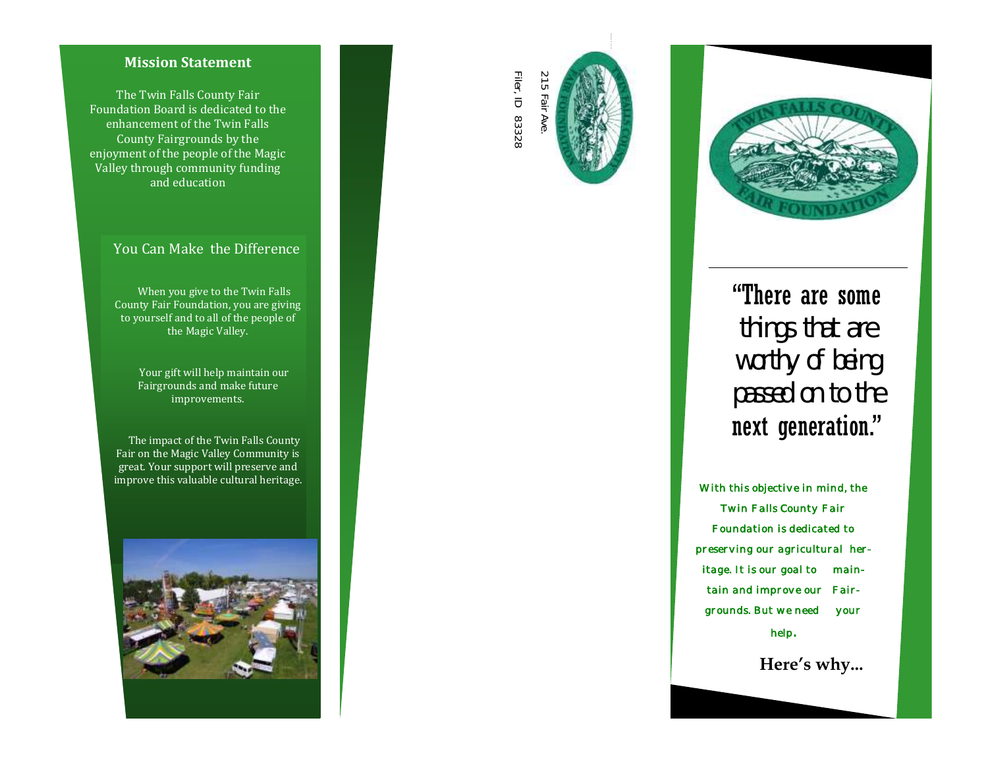#### **Mission Statement**

The Twin Falls County Fair Foundation Board is dedicated to the enhancement of the Twin Falls County Fairgrounds by the enjoyment of the people of the Magic Valley through community funding and education

### You Can Make the Difference

 When you give to the Twin Falls County Fair Foundation, you are giving to yourself and to all of the people of the Magic Valley.

> Your gift will help maintain our Fairgrounds and make future improvements.

 The impact of the Twin Falls County Fair on the Magic Valley Community is great. Your support will preserve and improve this valuable cultural heritage.







# "There are some things that are worthy of being passed on to the next generation."

*With this objective in mind, the Twin Falls County Fair Foundation is dedicated to preserving our agricultural heritage. It is our goal to maintain and improve our Fairgrounds. But we need your help .* 

 **Here's why...**